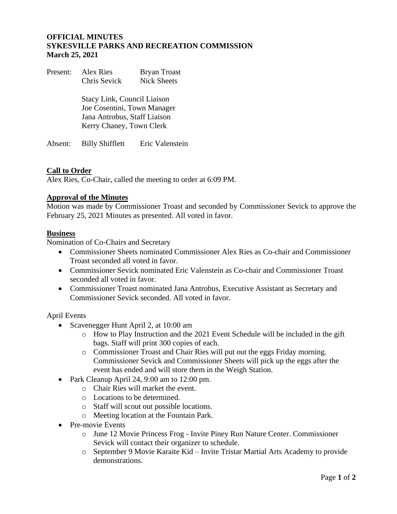# **OFFICIAL MINUTES SYKESVILLE PARKS AND RECREATION COMMISSION March 25, 2021**

Present: Alex Ries Bryan Troast Chris Sevick Nick Sheets

> Stacy Link, Council Liaison Joe Cosentini, Town Manager Jana Antrobus, Staff Liaison Kerry Chaney, Town Clerk

Absent: Billy Shifflett Eric Valenstein

# **Call to Order**

Alex Ries, Co-Chair, called the meeting to order at 6:09 PM.

### **Approval of the Minutes**

Motion was made by Commissioner Troast and seconded by Commissioner Sevick to approve the February 25, 2021 Minutes as presented. All voted in favor.

### **Business**

Nomination of Co-Chairs and Secretary

- Commissioner Sheets nominated Commissioner Alex Ries as Co-chair and Commissioner Troast seconded all voted in favor.
- Commissioner Sevick nominated Eric Valenstein as Co-chair and Commissioner Troast seconded all voted in favor.
- Commissioner Troast nominated Jana Antrobus, Executive Assistant as Secretary and Commissioner Sevick seconded. All voted in favor.

April Events

- Scavenegger Hunt April 2, at 10:00 am
	- o How to Play Instruction and the 2021 Event Schedule will be included in the gift bags. Staff will print 300 copies of each.
	- o Commissioner Troast and Chair Ries will put out the eggs Friday morning. Commissioner Sevick and Commissioner Sheets will pick up the eggs after the event has ended and will store them in the Weigh Station.
- Park Cleanup April 24, 9:00 am to 12:00 pm.
	- o Chair Ries will market the event.
	- o Locations to be determined.
	- o Staff will scout out possible locations.
	- o Meeting location at the Fountain Park.
- Pre-movie Events
	- o June 12 Movie Princess Frog Invite Piney Run Nature Center. Commissioner Sevick will contact their organizer to schedule.
	- o September 9 Movie Karaite Kid Invite Tristar Martial Arts Academy to provide demonstrations.